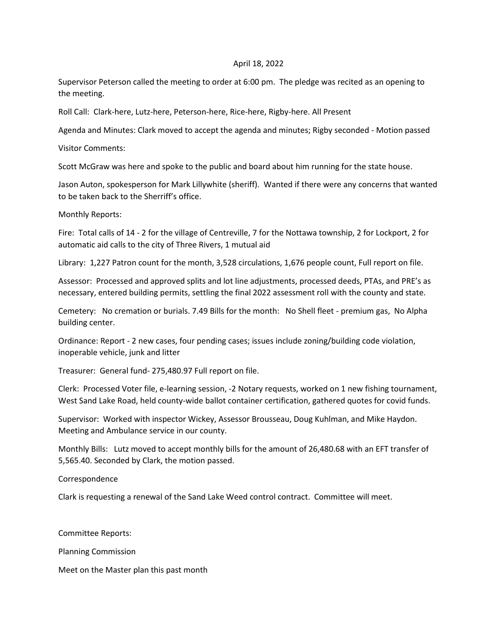## April 18, 2022

Supervisor Peterson called the meeting to order at 6:00 pm. The pledge was recited as an opening to the meeting.

Roll Call: Clark-here, Lutz-here, Peterson-here, Rice-here, Rigby-here. All Present

Agenda and Minutes: Clark moved to accept the agenda and minutes; Rigby seconded - Motion passed

Visitor Comments:

Scott McGraw was here and spoke to the public and board about him running for the state house.

Jason Auton, spokesperson for Mark Lillywhite (sheriff). Wanted if there were any concerns that wanted to be taken back to the Sherriff's office.

Monthly Reports:

Fire: Total calls of 14 - 2 for the village of Centreville, 7 for the Nottawa township, 2 for Lockport, 2 for automatic aid calls to the city of Three Rivers, 1 mutual aid

Library: 1,227 Patron count for the month, 3,528 circulations, 1,676 people count, Full report on file.

Assessor: Processed and approved splits and lot line adjustments, processed deeds, PTAs, and PRE's as necessary, entered building permits, settling the final 2022 assessment roll with the county and state.

Cemetery: No cremation or burials. 7.49 Bills for the month: No Shell fleet - premium gas, No Alpha building center.

Ordinance: Report - 2 new cases, four pending cases; issues include zoning/building code violation, inoperable vehicle, junk and litter

Treasurer: General fund- 275,480.97 Full report on file.

Clerk: Processed Voter file, e-learning session, -2 Notary requests, worked on 1 new fishing tournament, West Sand Lake Road, held county-wide ballot container certification, gathered quotes for covid funds.

Supervisor: Worked with inspector Wickey, Assessor Brousseau, Doug Kuhlman, and Mike Haydon. Meeting and Ambulance service in our county.

Monthly Bills: Lutz moved to accept monthly bills for the amount of 26,480.68 with an EFT transfer of 5,565.40. Seconded by Clark, the motion passed.

Correspondence

Clark is requesting a renewal of the Sand Lake Weed control contract. Committee will meet.

Committee Reports:

Planning Commission

Meet on the Master plan this past month